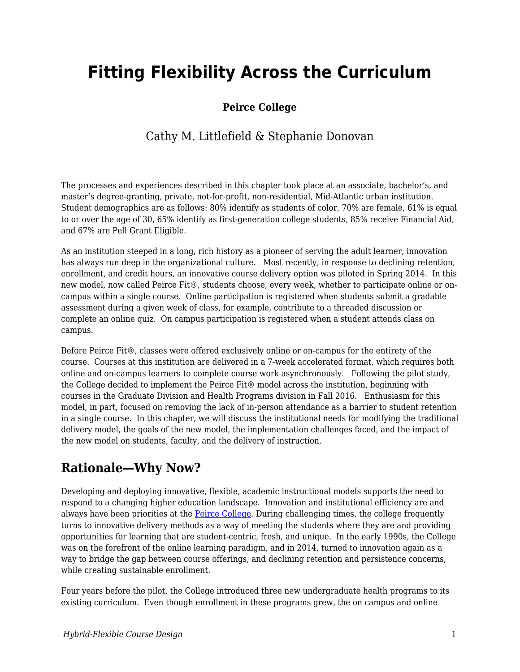# **Fitting Flexibility Across the Curriculum**

### **Peirce College**

### Cathy M. Littlefield & Stephanie Donovan

The processes and experiences described in this chapter took place at an associate, bachelor's, and master's degree-granting, private, not-for-profit, non-residential, Mid-Atlantic urban institution. Student demographics are as follows: 80% identify as students of color, 70% are female, 61% is equal to or over the age of 30, 65% identify as first-generation college students, 85% receive Financial Aid, and 67% are Pell Grant Eligible.

As an institution steeped in a long, rich history as a pioneer of serving the adult learner, innovation has always run deep in the organizational culture. Most recently, in response to declining retention, enrollment, and credit hours, an innovative course delivery option was piloted in Spring 2014. In this new model, now called Peirce Fit®, students choose, every week, whether to participate online or oncampus within a single course. Online participation is registered when students submit a gradable assessment during a given week of class, for example, contribute to a threaded discussion or complete an online quiz. On campus participation is registered when a student attends class on campus.

Before Peirce Fit®, classes were offered exclusively online or on-campus for the entirety of the course. Courses at this institution are delivered in a 7-week accelerated format, which requires both online and on-campus learners to complete course work asynchronously. Following the pilot study, the College decided to implement the Peirce Fit® model across the institution, beginning with courses in the Graduate Division and Health Programs division in Fall 2016. Enthusiasm for this model, in part, focused on removing the lack of in-person attendance as a barrier to student retention in a single course. In this chapter, we will discuss the institutional needs for modifying the traditional delivery model, the goals of the new model, the implementation challenges faced, and the impact of the new model on students, faculty, and the delivery of instruction.

# **Rationale—Why Now?**

Developing and deploying innovative, flexible, academic instructional models supports the need to respond to a changing higher education landscape. Innovation and institutional efficiency are and always have been priorities at the **Peirce College**. During challenging times, the college frequently turns to innovative delivery methods as a way of meeting the students where they are and providing opportunities for learning that are student-centric, fresh, and unique. In the early 1990s, the College was on the forefront of the online learning paradigm, and in 2014, turned to innovation again as a way to bridge the gap between course offerings, and declining retention and persistence concerns, while creating sustainable enrollment.

Four years before the pilot, the College introduced three new undergraduate health programs to its existing curriculum. Even though enrollment in these programs grew, the on campus and online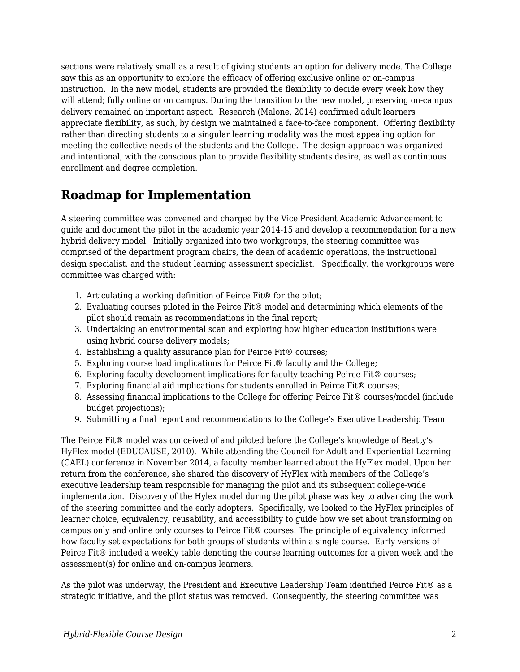sections were relatively small as a result of giving students an option for delivery mode. The College saw this as an opportunity to explore the efficacy of offering exclusive online or on-campus instruction. In the new model, students are provided the flexibility to decide every week how they will attend; fully online or on campus. During the transition to the new model, preserving on-campus delivery remained an important aspect. Research (Malone, 2014) confirmed adult learners appreciate flexibility, as such, by design we maintained a face-to-face component. Offering flexibility rather than directing students to a singular learning modality was the most appealing option for meeting the collective needs of the students and the College. The design approach was organized and intentional, with the conscious plan to provide flexibility students desire, as well as continuous enrollment and degree completion.

# **Roadmap for Implementation**

A steering committee was convened and charged by the Vice President Academic Advancement to guide and document the pilot in the academic year 2014-15 and develop a recommendation for a new hybrid delivery model. Initially organized into two workgroups, the steering committee was comprised of the department program chairs, the dean of academic operations, the instructional design specialist, and the student learning assessment specialist. Specifically, the workgroups were committee was charged with:

- 1. Articulating a working definition of Peirce Fit® for the pilot;
- 2. Evaluating courses piloted in the Peirce Fit® model and determining which elements of the pilot should remain as recommendations in the final report;
- 3. Undertaking an environmental scan and exploring how higher education institutions were using hybrid course delivery models;
- 4. Establishing a quality assurance plan for Peirce Fit® courses;
- 5. Exploring course load implications for Peirce Fit® faculty and the College;
- 6. Exploring faculty development implications for faculty teaching Peirce Fit® courses;
- 7. Exploring financial aid implications for students enrolled in Peirce Fit® courses;
- 8. Assessing financial implications to the College for offering Peirce Fit® courses/model (include budget projections);
- 9. Submitting a final report and recommendations to the College's Executive Leadership Team

The Peirce Fit® model was conceived of and piloted before the College's knowledge of Beatty's HyFlex model (EDUCAUSE, 2010). While attending the Council for Adult and Experiential Learning (CAEL) conference in November 2014, a faculty member learned about the HyFlex model. Upon her return from the conference, she shared the discovery of HyFlex with members of the College's executive leadership team responsible for managing the pilot and its subsequent college-wide implementation. Discovery of the Hylex model during the pilot phase was key to advancing the work of the steering committee and the early adopters. Specifically, we looked to the HyFlex principles of learner choice, equivalency, reusability, and accessibility to guide how we set about transforming on campus only and online only courses to Peirce Fit® courses. The principle of equivalency informed how faculty set expectations for both groups of students within a single course. Early versions of Peirce Fit® included a weekly table denoting the course learning outcomes for a given week and the assessment(s) for online and on-campus learners.

As the pilot was underway, the President and Executive Leadership Team identified Peirce Fit® as a strategic initiative, and the pilot status was removed. Consequently, the steering committee was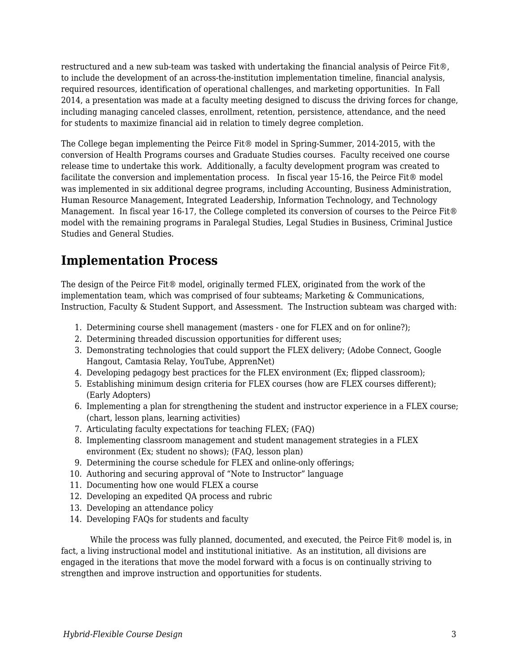restructured and a new sub-team was tasked with undertaking the financial analysis of Peirce Fit®, to include the development of an across-the-institution implementation timeline, financial analysis, required resources, identification of operational challenges, and marketing opportunities. In Fall 2014, a presentation was made at a faculty meeting designed to discuss the driving forces for change, including managing canceled classes, enrollment, retention, persistence, attendance, and the need for students to maximize financial aid in relation to timely degree completion.

The College began implementing the Peirce Fit® model in Spring-Summer, 2014-2015, with the conversion of Health Programs courses and Graduate Studies courses. Faculty received one course release time to undertake this work. Additionally, a faculty development program was created to facilitate the conversion and implementation process. In fiscal year 15-16, the Peirce Fit® model was implemented in six additional degree programs, including Accounting, Business Administration, Human Resource Management, Integrated Leadership, Information Technology, and Technology Management. In fiscal year 16-17, the College completed its conversion of courses to the Peirce Fit® model with the remaining programs in Paralegal Studies, Legal Studies in Business, Criminal Justice Studies and General Studies.

# **Implementation Process**

The design of the Peirce Fit® model, originally termed FLEX, originated from the work of the implementation team, which was comprised of four subteams; Marketing & Communications, Instruction, Faculty & Student Support, and Assessment. The Instruction subteam was charged with:

- 1. Determining course shell management (masters one for FLEX and on for online?);
- 2. Determining threaded discussion opportunities for different uses;
- 3. Demonstrating technologies that could support the FLEX delivery; (Adobe Connect, Google Hangout, Camtasia Relay, YouTube, ApprenNet)
- 4. Developing pedagogy best practices for the FLEX environment (Ex; flipped classroom);
- 5. Establishing minimum design criteria for FLEX courses (how are FLEX courses different); (Early Adopters)
- 6. Implementing a plan for strengthening the student and instructor experience in a FLEX course; (chart, lesson plans, learning activities)
- 7. Articulating faculty expectations for teaching FLEX; (FAQ)
- 8. Implementing classroom management and student management strategies in a FLEX environment (Ex; student no shows); (FAQ, lesson plan)
- 9. Determining the course schedule for FLEX and online-only offerings;
- 10. Authoring and securing approval of "Note to Instructor" language
- 11. Documenting how one would FLEX a course
- 12. Developing an expedited QA process and rubric
- 13. Developing an attendance policy
- 14. Developing FAQs for students and faculty

While the process was fully planned, documented, and executed, the Peirce Fit<sup>®</sup> model is, in fact, a living instructional model and institutional initiative. As an institution, all divisions are engaged in the iterations that move the model forward with a focus is on continually striving to strengthen and improve instruction and opportunities for students.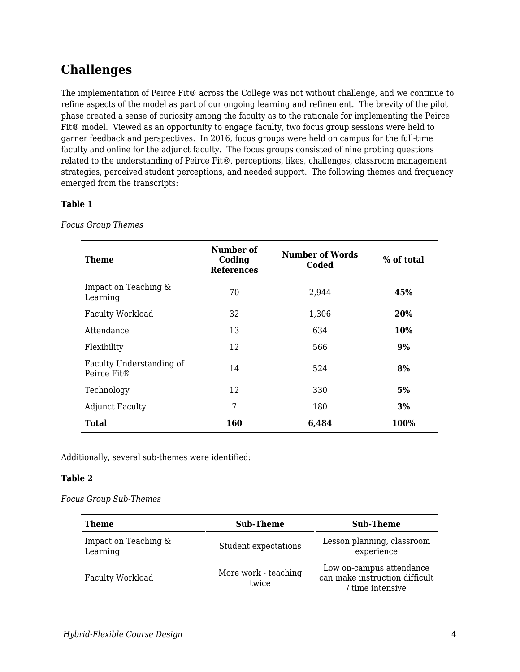# **Challenges**

The implementation of Peirce Fit® across the College was not without challenge, and we continue to refine aspects of the model as part of our ongoing learning and refinement. The brevity of the pilot phase created a sense of curiosity among the faculty as to the rationale for implementing the Peirce Fit® model. Viewed as an opportunity to engage faculty, two focus group sessions were held to garner feedback and perspectives. In 2016, focus groups were held on campus for the full-time faculty and online for the adjunct faculty. The focus groups consisted of nine probing questions related to the understanding of Peirce Fit®, perceptions, likes, challenges, classroom management strategies, perceived student perceptions, and needed support. The following themes and frequency emerged from the transcripts:

#### **Table 1**

| <b>Theme</b>                                        | Number of<br>Coding<br><b>References</b> | Number of Words<br>Coded | % of total |
|-----------------------------------------------------|------------------------------------------|--------------------------|------------|
| Impact on Teaching &<br>Learning                    | 70                                       | 2,944                    | 45%        |
| <b>Faculty Workload</b>                             | 32                                       | 1,306                    | 20%        |
| Attendance                                          | 13                                       | 634                      | 10%        |
| Flexibility                                         | 12                                       | 566                      | 9%         |
| Faculty Understanding of<br>Peirce Fit <sup>®</sup> | 14                                       | 524                      | 8%         |
| Technology                                          | 12                                       | 330                      | 5%         |
| <b>Adjunct Faculty</b>                              | 7                                        | 180                      | 3%         |
| <b>Total</b>                                        | 160                                      | 6,484                    | 100%       |

*Focus Group Themes*

Additionally, several sub-themes were identified:

#### **Table 2**

#### *Focus Group Sub-Themes*

| Theme                            | <b>Sub-Theme</b>              | <b>Sub-Theme</b>                                                               |
|----------------------------------|-------------------------------|--------------------------------------------------------------------------------|
| Impact on Teaching &<br>Learning | Student expectations          | Lesson planning, classroom<br>experience                                       |
| Faculty Workload                 | More work - teaching<br>twice | Low on-campus attendance<br>can make instruction difficult<br>/ time intensive |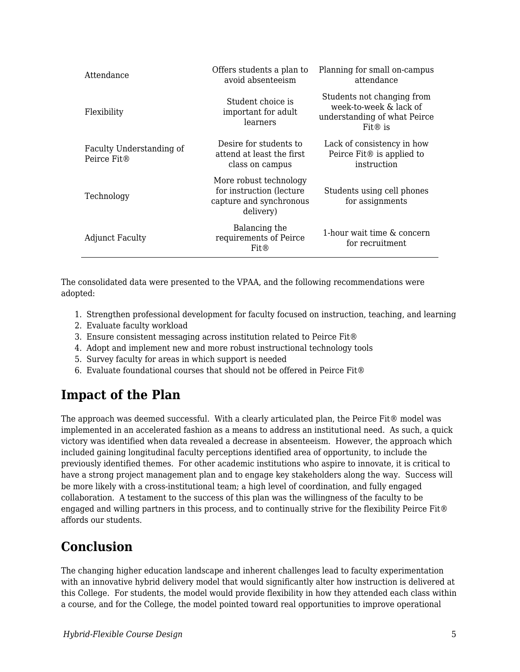| Attendance                              | Offers students a plan to<br>avoid absenteeism                                              | Planning for small on-campus<br>attendance                                                        |
|-----------------------------------------|---------------------------------------------------------------------------------------------|---------------------------------------------------------------------------------------------------|
| Flexibility                             | Student choice is<br>important for adult<br>learners                                        | Students not changing from<br>week-to-week & lack of<br>understanding of what Peirce<br>$Fit®$ is |
| Faculty Understanding of<br>Peirce Fit® | Desire for students to<br>attend at least the first<br>class on campus                      | Lack of consistency in how<br>Peirce Fit <sup>®</sup> is applied to<br>instruction                |
| Technology                              | More robust technology<br>for instruction (lecture)<br>capture and synchronous<br>delivery) | Students using cell phones<br>for assignments                                                     |
| <b>Adjunct Faculty</b>                  | Balancing the<br>requirements of Peirce<br>Fit@                                             | 1-hour wait time & concern<br>for recruitment                                                     |

The consolidated data were presented to the VPAA, and the following recommendations were adopted:

- 1. Strengthen professional development for faculty focused on instruction, teaching, and learning
- 2. Evaluate faculty workload
- 3. Ensure consistent messaging across institution related to Peirce Fit®
- 4. Adopt and implement new and more robust instructional technology tools
- 5. Survey faculty for areas in which support is needed
- 6. Evaluate foundational courses that should not be offered in Peirce Fit®

### **Impact of the Plan**

The approach was deemed successful. With a clearly articulated plan, the Peirce Fit® model was implemented in an accelerated fashion as a means to address an institutional need. As such, a quick victory was identified when data revealed a decrease in absenteeism. However, the approach which included gaining longitudinal faculty perceptions identified area of opportunity, to include the previously identified themes. For other academic institutions who aspire to innovate, it is critical to have a strong project management plan and to engage key stakeholders along the way. Success will be more likely with a cross-institutional team; a high level of coordination, and fully engaged collaboration. A testament to the success of this plan was the willingness of the faculty to be engaged and willing partners in this process, and to continually strive for the flexibility Peirce Fit® affords our students.

### **Conclusion**

The changing higher education landscape and inherent challenges lead to faculty experimentation with an innovative hybrid delivery model that would significantly alter how instruction is delivered at this College. For students, the model would provide flexibility in how they attended each class within a course, and for the College, the model pointed toward real opportunities to improve operational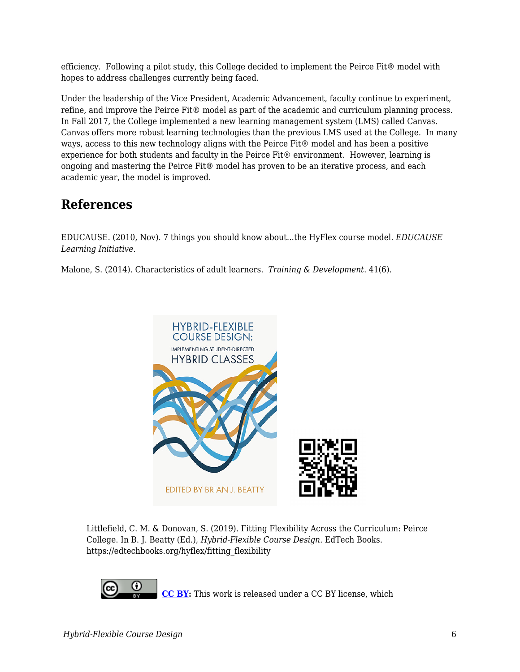efficiency. Following a pilot study, this College decided to implement the Peirce Fit® model with hopes to address challenges currently being faced.

Under the leadership of the Vice President, Academic Advancement, faculty continue to experiment, refine, and improve the Peirce Fit® model as part of the academic and curriculum planning process. In Fall 2017, the College implemented a new learning management system (LMS) called Canvas. Canvas offers more robust learning technologies than the previous LMS used at the College. In many ways, access to this new technology aligns with the Peirce Fit® model and has been a positive experience for both students and faculty in the Peirce Fit® environment. However, learning is ongoing and mastering the Peirce Fit® model has proven to be an iterative process, and each academic year, the model is improved.

### **References**

EDUCAUSE. (2010, Nov). 7 things you should know about...the HyFlex course model. *EDUCAUSE Learning Initiative.*

Malone, S. (2014). Characteristics of adult learners. *Training & Development*. 41(6).



Littlefield, C. M. & Donovan, S. (2019). Fitting Flexibility Across the Curriculum: Peirce College. In B. J. Beatty (Ed.), *Hybrid-Flexible Course Design*. EdTech Books. https://edtechbooks.org/hyflex/fitting\_flexibility